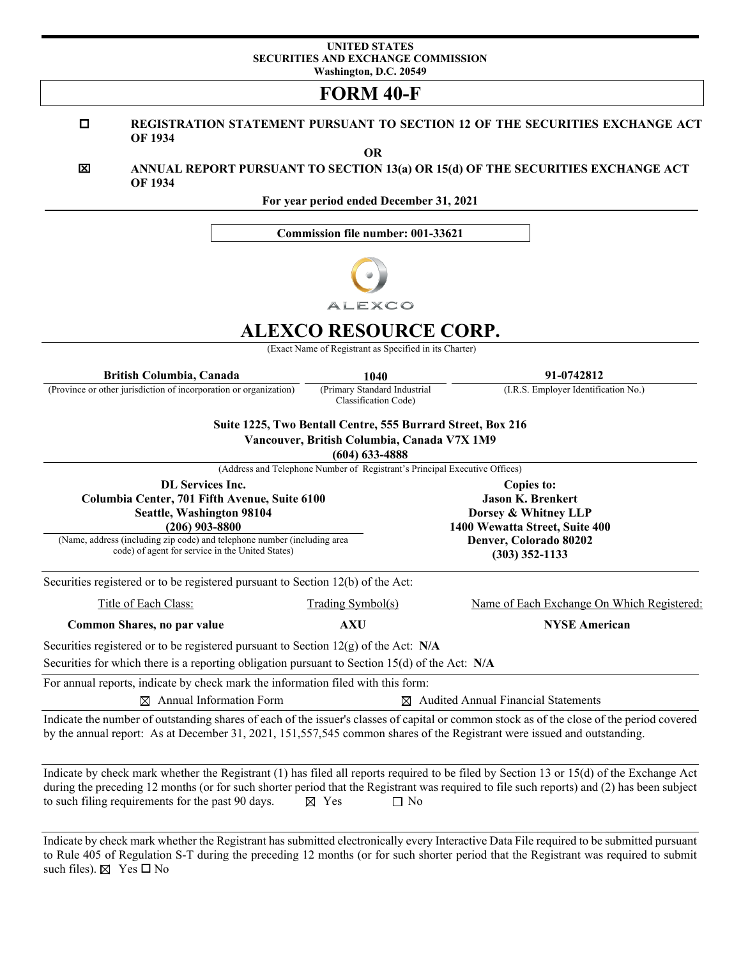#### **UNITED STATES SECURITIES AND EXCHANGE COMMISSION Washington, D.C. 20549**

|                                                                                                                              |                                                                                                | ,, asmngwn, D.C. 2007.                                                                                                           |                                                                                                                                                                                                                                                                                       |  |
|------------------------------------------------------------------------------------------------------------------------------|------------------------------------------------------------------------------------------------|----------------------------------------------------------------------------------------------------------------------------------|---------------------------------------------------------------------------------------------------------------------------------------------------------------------------------------------------------------------------------------------------------------------------------------|--|
|                                                                                                                              |                                                                                                | <b>FORM 40-F</b>                                                                                                                 |                                                                                                                                                                                                                                                                                       |  |
| □                                                                                                                            | <b>OF 1934</b>                                                                                 |                                                                                                                                  | REGISTRATION STATEMENT PURSUANT TO SECTION 12 OF THE SECURITIES EXCHANGE ACT                                                                                                                                                                                                          |  |
|                                                                                                                              |                                                                                                | <b>OR</b>                                                                                                                        |                                                                                                                                                                                                                                                                                       |  |
| 図                                                                                                                            | <b>OF 1934</b>                                                                                 |                                                                                                                                  | ANNUAL REPORT PURSUANT TO SECTION 13(a) OR 15(d) OF THE SECURITIES EXCHANGE ACT                                                                                                                                                                                                       |  |
|                                                                                                                              |                                                                                                | For year period ended December 31, 2021                                                                                          |                                                                                                                                                                                                                                                                                       |  |
|                                                                                                                              |                                                                                                | Commission file number: 001-33621                                                                                                |                                                                                                                                                                                                                                                                                       |  |
|                                                                                                                              |                                                                                                |                                                                                                                                  |                                                                                                                                                                                                                                                                                       |  |
|                                                                                                                              |                                                                                                | ALEXCO                                                                                                                           |                                                                                                                                                                                                                                                                                       |  |
|                                                                                                                              |                                                                                                | <b>ALEXCO RESOURCE CORP.</b>                                                                                                     |                                                                                                                                                                                                                                                                                       |  |
|                                                                                                                              |                                                                                                | (Exact Name of Registrant as Specified in its Charter)                                                                           |                                                                                                                                                                                                                                                                                       |  |
|                                                                                                                              | British Columbia, Canada                                                                       | 1040                                                                                                                             | 91-0742812                                                                                                                                                                                                                                                                            |  |
|                                                                                                                              | (Province or other jurisdiction of incorporation or organization)                              | (Primary Standard Industrial<br>Classification Code)                                                                             | (I.R.S. Employer Identification No.)                                                                                                                                                                                                                                                  |  |
|                                                                                                                              |                                                                                                | Suite 1225, Two Bentall Centre, 555 Burrard Street, Box 216<br>Vancouver, British Columbia, Canada V7X 1M9<br>$(604) 633 - 4888$ |                                                                                                                                                                                                                                                                                       |  |
|                                                                                                                              |                                                                                                | (Address and Telephone Number of Registrant's Principal Executive Offices)                                                       |                                                                                                                                                                                                                                                                                       |  |
|                                                                                                                              | DL Services Inc.                                                                               |                                                                                                                                  | Copies to:                                                                                                                                                                                                                                                                            |  |
|                                                                                                                              | Columbia Center, 701 Fifth Avenue, Suite 6100<br>Seattle, Washington 98104                     |                                                                                                                                  | <b>Jason K. Brenkert</b><br>Dorsey & Whitney LLP                                                                                                                                                                                                                                      |  |
|                                                                                                                              | $(206)$ 903-8800                                                                               |                                                                                                                                  | 1400 Wewatta Street, Suite 400                                                                                                                                                                                                                                                        |  |
| (Name, address (including zip code) and telephone number (including area<br>code) of agent for service in the United States) |                                                                                                |                                                                                                                                  | Denver, Colorado 80202<br>$(303)$ 352-1133                                                                                                                                                                                                                                            |  |
|                                                                                                                              | Securities registered or to be registered pursuant to Section 12(b) of the Act:                |                                                                                                                                  |                                                                                                                                                                                                                                                                                       |  |
|                                                                                                                              | Title of Each Class:                                                                           | Trading Symbol(s)                                                                                                                | Name of Each Exchange On Which Registered:                                                                                                                                                                                                                                            |  |
|                                                                                                                              | Common Shares, no par value                                                                    | <b>AXU</b>                                                                                                                       | <b>NYSE American</b>                                                                                                                                                                                                                                                                  |  |
|                                                                                                                              | Securities registered or to be registered pursuant to Section $12(g)$ of the Act: N/A          |                                                                                                                                  |                                                                                                                                                                                                                                                                                       |  |
|                                                                                                                              | Securities for which there is a reporting obligation pursuant to Section 15(d) of the Act: N/A |                                                                                                                                  |                                                                                                                                                                                                                                                                                       |  |
|                                                                                                                              | For annual reports, indicate by check mark the information filed with this form:               |                                                                                                                                  |                                                                                                                                                                                                                                                                                       |  |
|                                                                                                                              | $\boxtimes$ Annual Information Form                                                            |                                                                                                                                  | $\boxtimes$ Audited Annual Financial Statements                                                                                                                                                                                                                                       |  |
|                                                                                                                              |                                                                                                |                                                                                                                                  | Indicate the number of outstanding shares of each of the issuer's classes of capital or common stock as of the close of the period covered<br>by the annual report: As at December 31, 2021, 151,557,545 common shares of the Registrant were issued and outstanding.                 |  |
|                                                                                                                              | to such filing requirements for the past 90 days.                                              | $\boxtimes$ Yes<br>$\Box$ No                                                                                                     | Indicate by check mark whether the Registrant (1) has filed all reports required to be filed by Section 13 or 15(d) of the Exchange Act<br>during the preceding 12 months (or for such shorter period that the Registrant was required to file such reports) and (2) has been subject |  |
|                                                                                                                              |                                                                                                |                                                                                                                                  | Indicate by check mark whether the Registrant has submitted electronically every Interactive Data File required to be submitted pursuant<br>to Rule 405 of Regulation S-T during the preceding 12 months (or for such shorter period that the Registrant was required to submit       |  |

such files).  $\boxtimes$  Yes  $\square$  No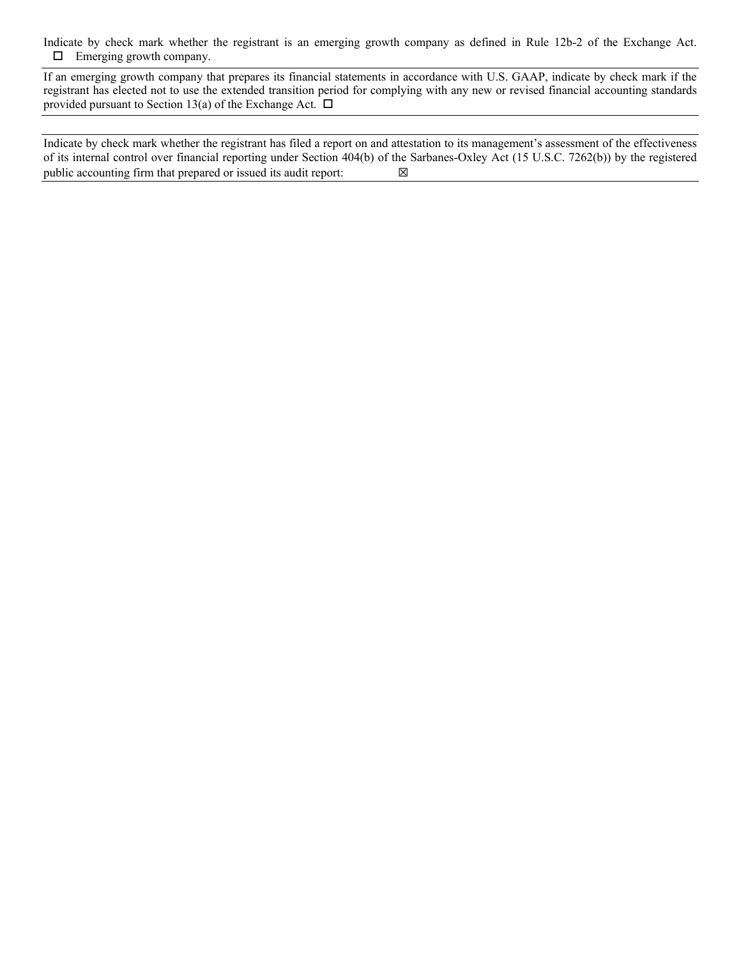Indicate by check mark whether the registrant is an emerging growth company as defined in Rule 12b-2 of the Exchange Act.  $\Box$  Emerging growth company.

If an emerging growth company that prepares its financial statements in accordance with U.S. GAAP, indicate by check mark if the registrant has elected not to use the extended transition period for complying with any new or revised financial accounting standards provided pursuant to Section 13(a) of the Exchange Act.  $\Box$ 

Indicate by check mark whether the registrant has filed a report on and attestation to its management's assessment of the effectiveness of its internal control over financial reporting under Section 404(b) of the Sarbanes-Oxley Act (15 U.S.C. 7262(b)) by the registered public accounting firm that prepared or issued its audit report:  $\boxtimes$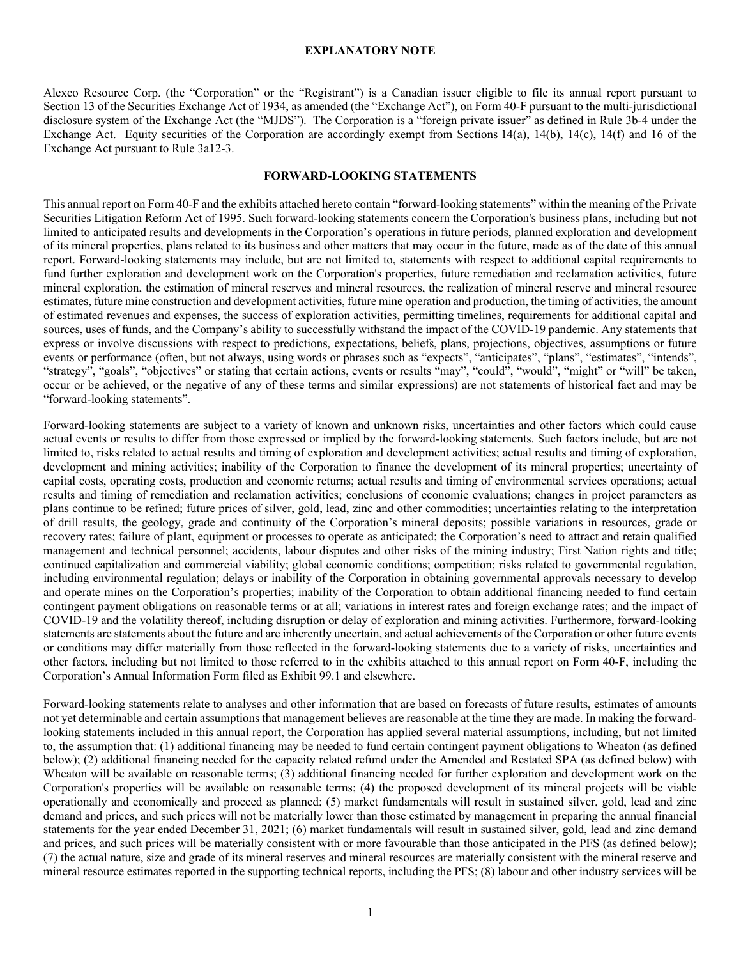#### **EXPLANATORY NOTE**

Alexco Resource Corp. (the "Corporation" or the "Registrant") is a Canadian issuer eligible to file its annual report pursuant to Section 13 of the Securities Exchange Act of 1934, as amended (the "Exchange Act"), on Form 40-F pursuant to the multi-jurisdictional disclosure system of the Exchange Act (the "MJDS"). The Corporation is a "foreign private issuer" as defined in Rule 3b-4 under the Exchange Act. Equity securities of the Corporation are accordingly exempt from Sections 14(a), 14(b), 14(c), 14(f) and 16 of the Exchange Act pursuant to Rule 3a12-3.

## **FORWARD-LOOKING STATEMENTS**

This annual report on Form 40-F and the exhibits attached hereto contain "forward-looking statements" within the meaning of the Private Securities Litigation Reform Act of 1995. Such forward-looking statements concern the Corporation's business plans, including but not limited to anticipated results and developments in the Corporation's operations in future periods, planned exploration and development of its mineral properties, plans related to its business and other matters that may occur in the future, made as of the date of this annual report. Forward-looking statements may include, but are not limited to, statements with respect to additional capital requirements to fund further exploration and development work on the Corporation's properties, future remediation and reclamation activities, future mineral exploration, the estimation of mineral reserves and mineral resources, the realization of mineral reserve and mineral resource estimates, future mine construction and development activities, future mine operation and production, the timing of activities, the amount of estimated revenues and expenses, the success of exploration activities, permitting timelines, requirements for additional capital and sources, uses of funds, and the Company's ability to successfully withstand the impact of the COVID-19 pandemic. Any statements that express or involve discussions with respect to predictions, expectations, beliefs, plans, projections, objectives, assumptions or future events or performance (often, but not always, using words or phrases such as "expects", "anticipates", "plans", "estimates", "intends", "strategy", "goals", "objectives" or stating that certain actions, events or results "may", "could", "would", "might" or "will" be taken, occur or be achieved, or the negative of any of these terms and similar expressions) are not statements of historical fact and may be "forward-looking statements".

Forward-looking statements are subject to a variety of known and unknown risks, uncertainties and other factors which could cause actual events or results to differ from those expressed or implied by the forward-looking statements. Such factors include, but are not limited to, risks related to actual results and timing of exploration and development activities; actual results and timing of exploration, development and mining activities; inability of the Corporation to finance the development of its mineral properties; uncertainty of capital costs, operating costs, production and economic returns; actual results and timing of environmental services operations; actual results and timing of remediation and reclamation activities; conclusions of economic evaluations; changes in project parameters as plans continue to be refined; future prices of silver, gold, lead, zinc and other commodities; uncertainties relating to the interpretation of drill results, the geology, grade and continuity of the Corporation's mineral deposits; possible variations in resources, grade or recovery rates; failure of plant, equipment or processes to operate as anticipated; the Corporation's need to attract and retain qualified management and technical personnel; accidents, labour disputes and other risks of the mining industry; First Nation rights and title; continued capitalization and commercial viability; global economic conditions; competition; risks related to governmental regulation, including environmental regulation; delays or inability of the Corporation in obtaining governmental approvals necessary to develop and operate mines on the Corporation's properties; inability of the Corporation to obtain additional financing needed to fund certain contingent payment obligations on reasonable terms or at all; variations in interest rates and foreign exchange rates; and the impact of COVID-19 and the volatility thereof, including disruption or delay of exploration and mining activities. Furthermore, forward-looking statements are statements about the future and are inherently uncertain, and actual achievements of the Corporation or other future events or conditions may differ materially from those reflected in the forward-looking statements due to a variety of risks, uncertainties and other factors, including but not limited to those referred to in the exhibits attached to this annual report on Form 40-F, including the Corporation's Annual Information Form filed as Exhibit 99.1 and elsewhere.

Forward-looking statements relate to analyses and other information that are based on forecasts of future results, estimates of amounts not yet determinable and certain assumptions that management believes are reasonable at the time they are made. In making the forwardlooking statements included in this annual report, the Corporation has applied several material assumptions, including, but not limited to, the assumption that: (1) additional financing may be needed to fund certain contingent payment obligations to Wheaton (as defined below); (2) additional financing needed for the capacity related refund under the Amended and Restated SPA (as defined below) with Wheaton will be available on reasonable terms; (3) additional financing needed for further exploration and development work on the Corporation's properties will be available on reasonable terms; (4) the proposed development of its mineral projects will be viable operationally and economically and proceed as planned; (5) market fundamentals will result in sustained silver, gold, lead and zinc demand and prices, and such prices will not be materially lower than those estimated by management in preparing the annual financial statements for the year ended December 31, 2021; (6) market fundamentals will result in sustained silver, gold, lead and zinc demand and prices, and such prices will be materially consistent with or more favourable than those anticipated in the PFS (as defined below); (7) the actual nature, size and grade of its mineral reserves and mineral resources are materially consistent with the mineral reserve and mineral resource estimates reported in the supporting technical reports, including the PFS; (8) labour and other industry services will be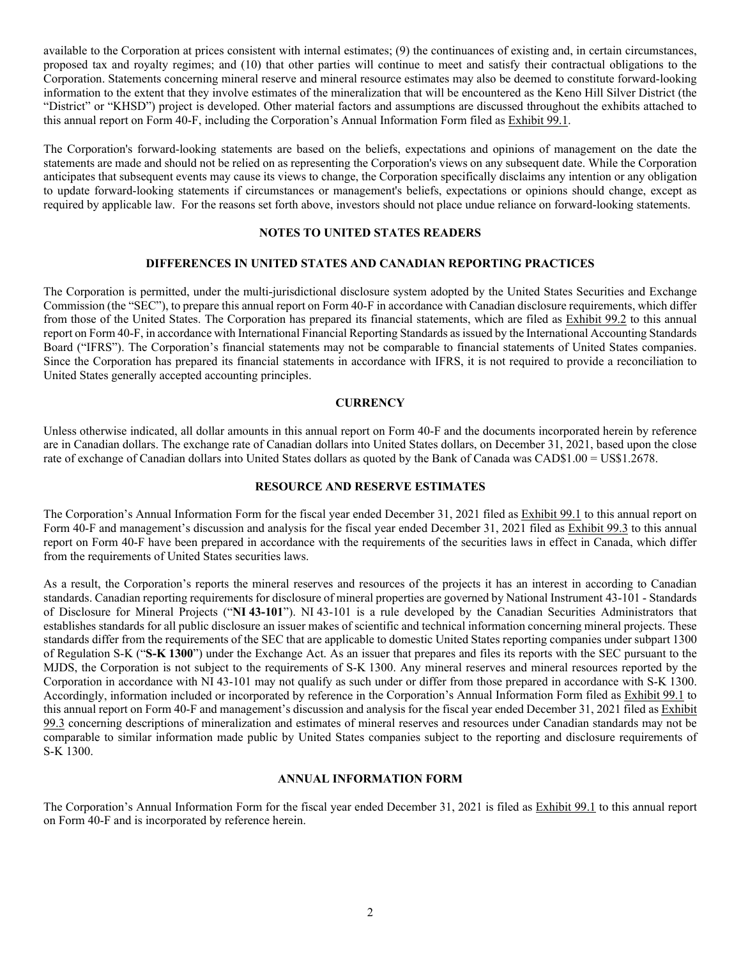available to the Corporation at prices consistent with internal estimates; (9) the continuances of existing and, in certain circumstances, proposed tax and royalty regimes; and (10) that other parties will continue to meet and satisfy their contractual obligations to the Corporation. Statements concerning mineral reserve and mineral resource estimates may also be deemed to constitute forward-looking information to the extent that they involve estimates of the mineralization that will be encountered as the Keno Hill Silver District (the "District" or "KHSD") project is developed. Other material factors and assumptions are discussed throughout the exhibits attached to this annual report on Form 40-F, including the Corporation's Annual Information Form filed as Exhibit 99.1.

The Corporation's forward-looking statements are based on the beliefs, expectations and opinions of management on the date the statements are made and should not be relied on as representing the Corporation's views on any subsequent date. While the Corporation anticipates that subsequent events may cause its views to change, the Corporation specifically disclaims any intention or any obligation to update forward-looking statements if circumstances or management's beliefs, expectations or opinions should change, except as required by applicable law. For the reasons set forth above, investors should not place undue reliance on forward-looking statements.

## **NOTES TO UNITED STATES READERS**

#### **DIFFERENCES IN UNITED STATES AND CANADIAN REPORTING PRACTICES**

The Corporation is permitted, under the multi-jurisdictional disclosure system adopted by the United States Securities and Exchange Commission (the "SEC"), to prepare this annual report on Form 40-F in accordance with Canadian disclosure requirements, which differ from those of the United States. The Corporation has prepared its financial statements, which are filed as Exhibit 99.2 to this annual report on Form 40-F, in accordance with International Financial Reporting Standards as issued by the International Accounting Standards Board ("IFRS"). The Corporation's financial statements may not be comparable to financial statements of United States companies. Since the Corporation has prepared its financial statements in accordance with IFRS, it is not required to provide a reconciliation to United States generally accepted accounting principles.

#### **CURRENCY**

Unless otherwise indicated, all dollar amounts in this annual report on Form 40-F and the documents incorporated herein by reference are in Canadian dollars. The exchange rate of Canadian dollars into United States dollars, on December 31, 2021, based upon the close rate of exchange of Canadian dollars into United States dollars as quoted by the Bank of Canada was CAD\$1.00 = US\$1.2678.

## **RESOURCE AND RESERVE ESTIMATES**

The Corporation's Annual Information Form for the fiscal year ended December 31, 2021 filed as Exhibit 99.1 to this annual report on Form 40-F and management's discussion and analysis for the fiscal year ended December 31, 2021 filed as Exhibit 99.3 to this annual report on Form 40-F have been prepared in accordance with the requirements of the securities laws in effect in Canada, which differ from the requirements of United States securities laws.

As a result, the Corporation's reports the mineral reserves and resources of the projects it has an interest in according to Canadian standards. Canadian reporting requirements for disclosure of mineral properties are governed by National Instrument 43-101 - Standards of Disclosure for Mineral Projects ("**NI 43-101**"). NI 43-101 is a rule developed by the Canadian Securities Administrators that establishes standards for all public disclosure an issuer makes of scientific and technical information concerning mineral projects. These standards differ from the requirements of the SEC that are applicable to domestic United States reporting companies under subpart 1300 of Regulation S-K ("**S-K 1300**") under the Exchange Act. As an issuer that prepares and files its reports with the SEC pursuant to the MJDS, the Corporation is not subject to the requirements of S-K 1300. Any mineral reserves and mineral resources reported by the Corporation in accordance with NI 43-101 may not qualify as such under or differ from those prepared in accordance with S-K 1300. Accordingly, information included or incorporated by reference in the Corporation's Annual Information Form filed as Exhibit 99.1 to this annual report on Form 40-F and management's discussion and analysis for the fiscal year ended December 31, 2021 filed as Exhibit 99.3 concerning descriptions of mineralization and estimates of mineral reserves and resources under Canadian standards may not be comparable to similar information made public by United States companies subject to the reporting and disclosure requirements of S-K 1300.

#### **ANNUAL INFORMATION FORM**

The Corporation's Annual Information Form for the fiscal year ended December 31, 2021 is filed as Exhibit 99.1 to this annual report on Form 40-F and is incorporated by reference herein.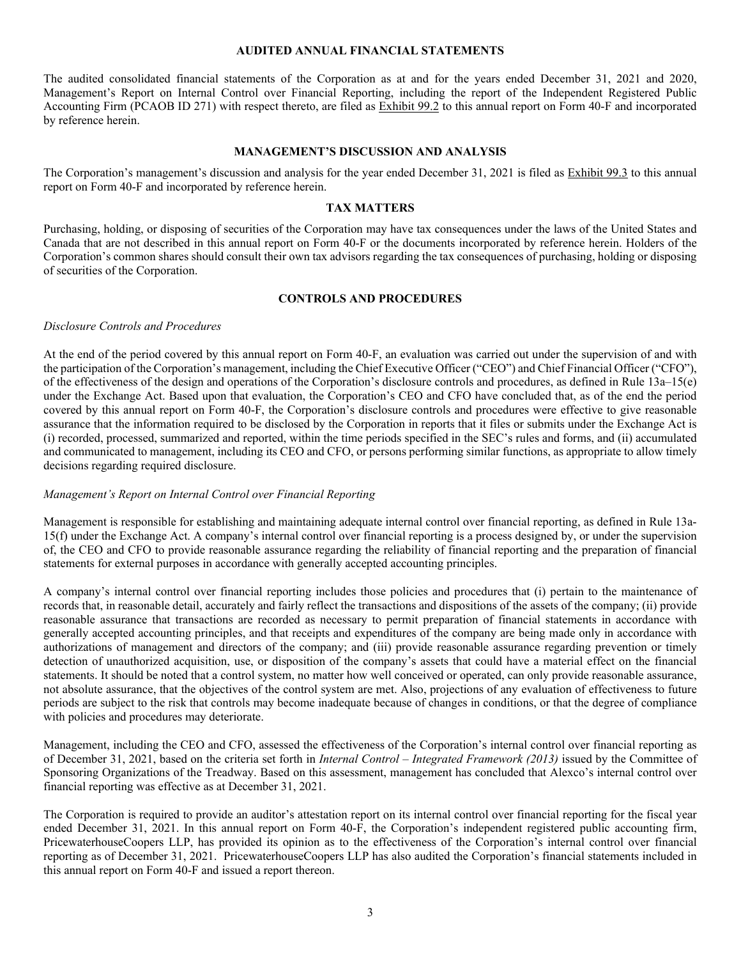#### **AUDITED ANNUAL FINANCIAL STATEMENTS**

The audited consolidated financial statements of the Corporation as at and for the years ended December 31, 2021 and 2020, Management's Report on Internal Control over Financial Reporting, including the report of the Independent Registered Public Accounting Firm (PCAOB ID 271) with respect thereto, are filed as Exhibit 99.2 to this annual report on Form 40-F and incorporated by reference herein.

#### **MANAGEMENT'S DISCUSSION AND ANALYSIS**

The Corporation's management's discussion and analysis for the year ended December 31, 2021 is filed as Exhibit 99.3 to this annual report on Form 40-F and incorporated by reference herein.

### **TAX MATTERS**

Purchasing, holding, or disposing of securities of the Corporation may have tax consequences under the laws of the United States and Canada that are not described in this annual report on Form 40-F or the documents incorporated by reference herein. Holders of the Corporation's common shares should consult their own tax advisors regarding the tax consequences of purchasing, holding or disposing of securities of the Corporation.

#### **CONTROLS AND PROCEDURES**

## *Disclosure Controls and Procedures*

At the end of the period covered by this annual report on Form 40-F, an evaluation was carried out under the supervision of and with the participation of the Corporation's management, including the Chief Executive Officer ("CEO") and Chief Financial Officer ("CFO"), of the effectiveness of the design and operations of the Corporation's disclosure controls and procedures, as defined in Rule 13a–15(e) under the Exchange Act. Based upon that evaluation, the Corporation's CEO and CFO have concluded that, as of the end the period covered by this annual report on Form 40-F, the Corporation's disclosure controls and procedures were effective to give reasonable assurance that the information required to be disclosed by the Corporation in reports that it files or submits under the Exchange Act is (i) recorded, processed, summarized and reported, within the time periods specified in the SEC's rules and forms, and (ii) accumulated and communicated to management, including its CEO and CFO, or persons performing similar functions, as appropriate to allow timely decisions regarding required disclosure.

## *Management's Report on Internal Control over Financial Reporting*

Management is responsible for establishing and maintaining adequate internal control over financial reporting, as defined in Rule 13a-15(f) under the Exchange Act. A company's internal control over financial reporting is a process designed by, or under the supervision of, the CEO and CFO to provide reasonable assurance regarding the reliability of financial reporting and the preparation of financial statements for external purposes in accordance with generally accepted accounting principles.

A company's internal control over financial reporting includes those policies and procedures that (i) pertain to the maintenance of records that, in reasonable detail, accurately and fairly reflect the transactions and dispositions of the assets of the company; (ii) provide reasonable assurance that transactions are recorded as necessary to permit preparation of financial statements in accordance with generally accepted accounting principles, and that receipts and expenditures of the company are being made only in accordance with authorizations of management and directors of the company; and (iii) provide reasonable assurance regarding prevention or timely detection of unauthorized acquisition, use, or disposition of the company's assets that could have a material effect on the financial statements. It should be noted that a control system, no matter how well conceived or operated, can only provide reasonable assurance, not absolute assurance, that the objectives of the control system are met. Also, projections of any evaluation of effectiveness to future periods are subject to the risk that controls may become inadequate because of changes in conditions, or that the degree of compliance with policies and procedures may deteriorate.

Management, including the CEO and CFO, assessed the effectiveness of the Corporation's internal control over financial reporting as of December 31, 2021, based on the criteria set forth in *Internal Control – Integrated Framework (2013)* issued by the Committee of Sponsoring Organizations of the Treadway. Based on this assessment, management has concluded that Alexco's internal control over financial reporting was effective as at December 31, 2021.

The Corporation is required to provide an auditor's attestation report on its internal control over financial reporting for the fiscal year ended December 31, 2021. In this annual report on Form 40-F, the Corporation's independent registered public accounting firm, PricewaterhouseCoopers LLP, has provided its opinion as to the effectiveness of the Corporation's internal control over financial reporting as of December 31, 2021. PricewaterhouseCoopers LLP has also audited the Corporation's financial statements included in this annual report on Form 40-F and issued a report thereon.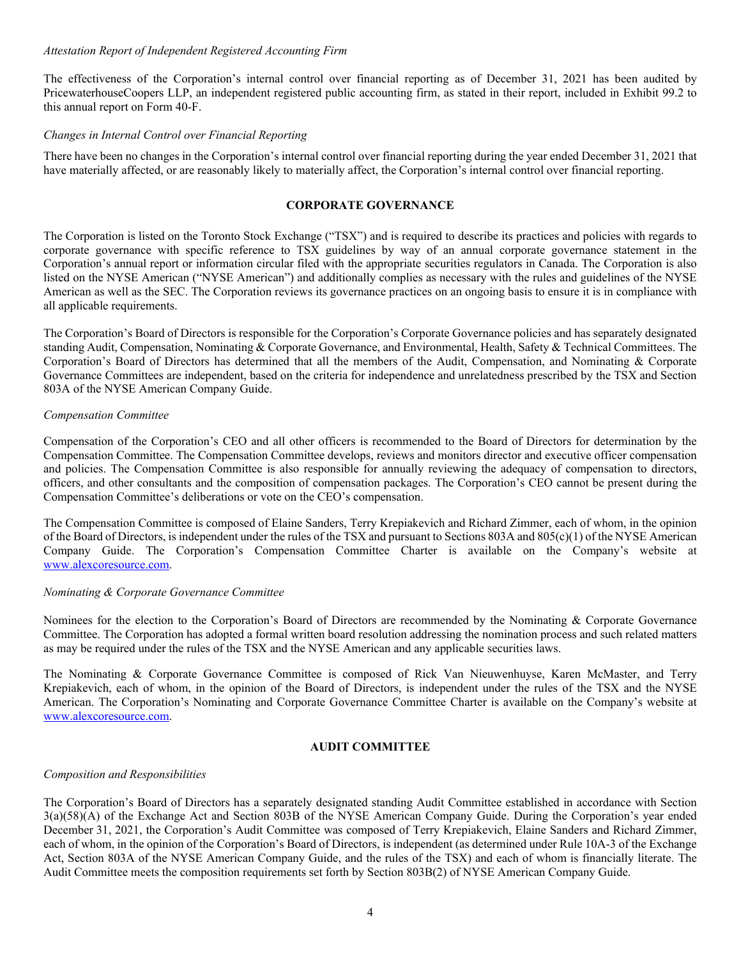## *Attestation Report of Independent Registered Accounting Firm*

The effectiveness of the Corporation's internal control over financial reporting as of December 31, 2021 has been audited by PricewaterhouseCoopers LLP, an independent registered public accounting firm, as stated in their report, included in Exhibit 99.2 to this annual report on Form 40-F.

## *Changes in Internal Control over Financial Reporting*

There have been no changes in the Corporation's internal control over financial reporting during the year ended December 31, 2021 that have materially affected, or are reasonably likely to materially affect, the Corporation's internal control over financial reporting.

#### **CORPORATE GOVERNANCE**

The Corporation is listed on the Toronto Stock Exchange ("TSX") and is required to describe its practices and policies with regards to corporate governance with specific reference to TSX guidelines by way of an annual corporate governance statement in the Corporation's annual report or information circular filed with the appropriate securities regulators in Canada. The Corporation is also listed on the NYSE American ("NYSE American") and additionally complies as necessary with the rules and guidelines of the NYSE American as well as the SEC. The Corporation reviews its governance practices on an ongoing basis to ensure it is in compliance with all applicable requirements.

The Corporation's Board of Directors is responsible for the Corporation's Corporate Governance policies and has separately designated standing Audit, Compensation, Nominating & Corporate Governance, and Environmental, Health, Safety & Technical Committees. The Corporation's Board of Directors has determined that all the members of the Audit, Compensation, and Nominating & Corporate Governance Committees are independent, based on the criteria for independence and unrelatedness prescribed by the TSX and Section 803A of the NYSE American Company Guide.

## *Compensation Committee*

Compensation of the Corporation's CEO and all other officers is recommended to the Board of Directors for determination by the Compensation Committee. The Compensation Committee develops, reviews and monitors director and executive officer compensation and policies. The Compensation Committee is also responsible for annually reviewing the adequacy of compensation to directors, officers, and other consultants and the composition of compensation packages. The Corporation's CEO cannot be present during the Compensation Committee's deliberations or vote on the CEO's compensation.

The Compensation Committee is composed of Elaine Sanders, Terry Krepiakevich and Richard Zimmer, each of whom, in the opinion of the Board of Directors, is independent under the rules of the TSX and pursuant to Sections 803A and 805(c)(1) of the NYSE American Company Guide. The Corporation's Compensation Committee Charter is available on the Company's website at [www.alexcoresource.com.](http://www.alexcoresource.com/)

## *Nominating & Corporate Governance Committee*

Nominees for the election to the Corporation's Board of Directors are recommended by the Nominating & Corporate Governance Committee. The Corporation has adopted a formal written board resolution addressing the nomination process and such related matters as may be required under the rules of the TSX and the NYSE American and any applicable securities laws.

The Nominating & Corporate Governance Committee is composed of Rick Van Nieuwenhuyse, Karen McMaster, and Terry Krepiakevich, each of whom, in the opinion of the Board of Directors, is independent under the rules of the TSX and the NYSE American. The Corporation's Nominating and Corporate Governance Committee Charter is available on the Company's website at [www.alexcoresource.com.](http://www.alexcoresource.com/)

## **AUDIT COMMITTEE**

#### *Composition and Responsibilities*

The Corporation's Board of Directors has a separately designated standing Audit Committee established in accordance with Section 3(a)(58)(A) of the Exchange Act and Section 803B of the NYSE American Company Guide. During the Corporation's year ended December 31, 2021, the Corporation's Audit Committee was composed of Terry Krepiakevich, Elaine Sanders and Richard Zimmer, each of whom, in the opinion of the Corporation's Board of Directors, is independent (as determined under Rule 10A-3 of the Exchange Act, Section 803A of the NYSE American Company Guide, and the rules of the TSX) and each of whom is financially literate. The Audit Committee meets the composition requirements set forth by Section 803B(2) of NYSE American Company Guide.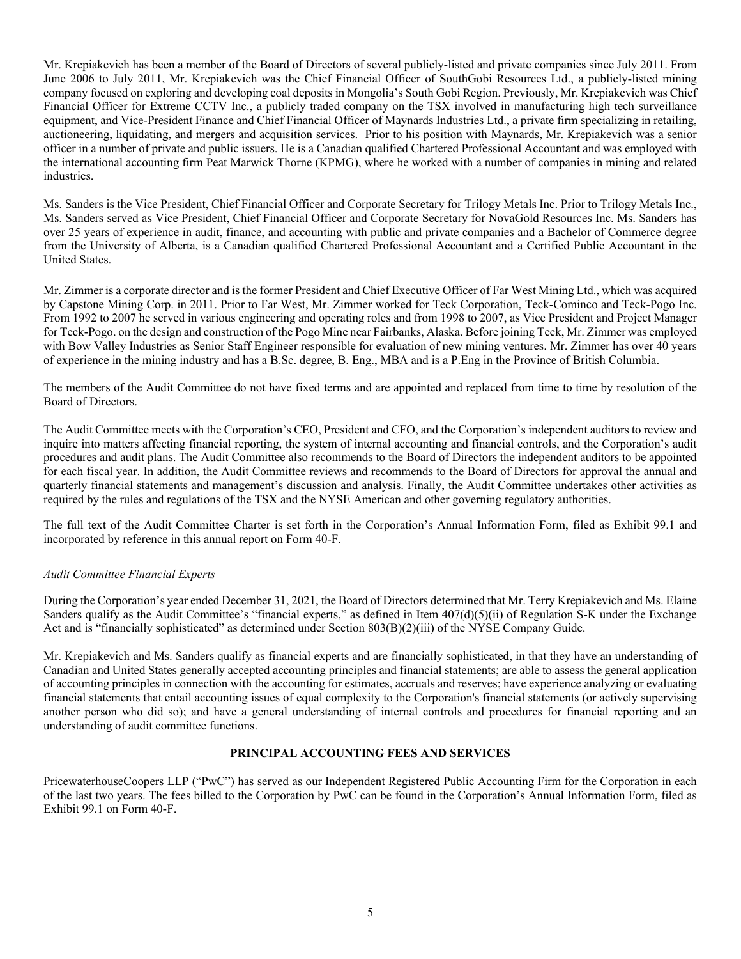Mr. Krepiakevich has been a member of the Board of Directors of several publicly-listed and private companies since July 2011. From June 2006 to July 2011, Mr. Krepiakevich was the Chief Financial Officer of SouthGobi Resources Ltd., a publicly-listed mining company focused on exploring and developing coal deposits in Mongolia's South Gobi Region. Previously, Mr. Krepiakevich was Chief Financial Officer for Extreme CCTV Inc., a publicly traded company on the TSX involved in manufacturing high tech surveillance equipment, and Vice-President Finance and Chief Financial Officer of Maynards Industries Ltd., a private firm specializing in retailing, auctioneering, liquidating, and mergers and acquisition services. Prior to his position with Maynards, Mr. Krepiakevich was a senior officer in a number of private and public issuers. He is a Canadian qualified Chartered Professional Accountant and was employed with the international accounting firm Peat Marwick Thorne (KPMG), where he worked with a number of companies in mining and related industries.

Ms. Sanders is the Vice President, Chief Financial Officer and Corporate Secretary for Trilogy Metals Inc. Prior to Trilogy Metals Inc., Ms. Sanders served as Vice President, Chief Financial Officer and Corporate Secretary for NovaGold Resources Inc. Ms. Sanders has over 25 years of experience in audit, finance, and accounting with public and private companies and a Bachelor of Commerce degree from the University of Alberta, is a Canadian qualified Chartered Professional Accountant and a Certified Public Accountant in the United States.

Mr. Zimmer is a corporate director and is the former President and Chief Executive Officer of Far West Mining Ltd., which was acquired by Capstone Mining Corp. in 2011. Prior to Far West, Mr. Zimmer worked for Teck Corporation, Teck-Cominco and Teck-Pogo Inc. From 1992 to 2007 he served in various engineering and operating roles and from 1998 to 2007, as Vice President and Project Manager for Teck-Pogo. on the design and construction of the Pogo Mine near Fairbanks, Alaska. Before joining Teck, Mr. Zimmer was employed with Bow Valley Industries as Senior Staff Engineer responsible for evaluation of new mining ventures. Mr. Zimmer has over 40 years of experience in the mining industry and has a B.Sc. degree, B. Eng., MBA and is a P.Eng in the Province of British Columbia.

The members of the Audit Committee do not have fixed terms and are appointed and replaced from time to time by resolution of the Board of Directors.

The Audit Committee meets with the Corporation's CEO, President and CFO, and the Corporation's independent auditors to review and inquire into matters affecting financial reporting, the system of internal accounting and financial controls, and the Corporation's audit procedures and audit plans. The Audit Committee also recommends to the Board of Directors the independent auditors to be appointed for each fiscal year. In addition, the Audit Committee reviews and recommends to the Board of Directors for approval the annual and quarterly financial statements and management's discussion and analysis. Finally, the Audit Committee undertakes other activities as required by the rules and regulations of the TSX and the NYSE American and other governing regulatory authorities.

The full text of the Audit Committee Charter is set forth in the Corporation's Annual Information Form, filed as Exhibit 99.1 and incorporated by reference in this annual report on Form 40-F.

## *Audit Committee Financial Experts*

During the Corporation's year ended December 31, 2021, the Board of Directors determined that Mr. Terry Krepiakevich and Ms. Elaine Sanders qualify as the Audit Committee's "financial experts," as defined in Item 407(d)(5)(ii) of Regulation S-K under the Exchange Act and is "financially sophisticated" as determined under Section 803(B)(2)(iii) of the NYSE Company Guide.

Mr. Krepiakevich and Ms. Sanders qualify as financial experts and are financially sophisticated, in that they have an understanding of Canadian and United States generally accepted accounting principles and financial statements; are able to assess the general application of accounting principles in connection with the accounting for estimates, accruals and reserves; have experience analyzing or evaluating financial statements that entail accounting issues of equal complexity to the Corporation's financial statements (or actively supervising another person who did so); and have a general understanding of internal controls and procedures for financial reporting and an understanding of audit committee functions.

## **PRINCIPAL ACCOUNTING FEES AND SERVICES**

PricewaterhouseCoopers LLP ("PwC") has served as our Independent Registered Public Accounting Firm for the Corporation in each of the last two years. The fees billed to the Corporation by PwC can be found in the Corporation's Annual Information Form, filed as Exhibit 99.1 on Form 40-F.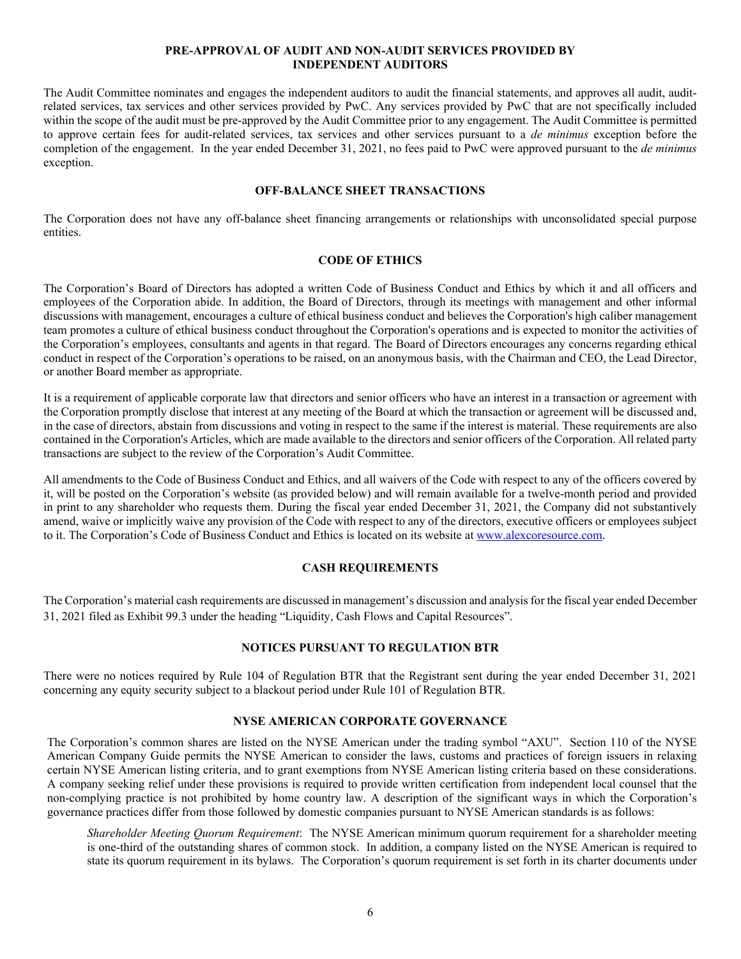## **PRE-APPROVAL OF AUDIT AND NON-AUDIT SERVICES PROVIDED BY INDEPENDENT AUDITORS**

The Audit Committee nominates and engages the independent auditors to audit the financial statements, and approves all audit, auditrelated services, tax services and other services provided by PwC. Any services provided by PwC that are not specifically included within the scope of the audit must be pre-approved by the Audit Committee prior to any engagement. The Audit Committee is permitted to approve certain fees for audit-related services, tax services and other services pursuant to a *de minimus* exception before the completion of the engagement. In the year ended December 31, 2021, no fees paid to PwC were approved pursuant to the *de minimus*  exception.

#### **OFF-BALANCE SHEET TRANSACTIONS**

The Corporation does not have any off-balance sheet financing arrangements or relationships with unconsolidated special purpose entities.

## **CODE OF ETHICS**

The Corporation's Board of Directors has adopted a written Code of Business Conduct and Ethics by which it and all officers and employees of the Corporation abide. In addition, the Board of Directors, through its meetings with management and other informal discussions with management, encourages a culture of ethical business conduct and believes the Corporation's high caliber management team promotes a culture of ethical business conduct throughout the Corporation's operations and is expected to monitor the activities of the Corporation's employees, consultants and agents in that regard. The Board of Directors encourages any concerns regarding ethical conduct in respect of the Corporation's operations to be raised, on an anonymous basis, with the Chairman and CEO, the Lead Director, or another Board member as appropriate.

It is a requirement of applicable corporate law that directors and senior officers who have an interest in a transaction or agreement with the Corporation promptly disclose that interest at any meeting of the Board at which the transaction or agreement will be discussed and, in the case of directors, abstain from discussions and voting in respect to the same if the interest is material. These requirements are also contained in the Corporation's Articles, which are made available to the directors and senior officers of the Corporation. All related party transactions are subject to the review of the Corporation's Audit Committee.

All amendments to the Code of Business Conduct and Ethics, and all waivers of the Code with respect to any of the officers covered by it, will be posted on the Corporation's website (as provided below) and will remain available for a twelve-month period and provided in print to any shareholder who requests them. During the fiscal year ended December 31, 2021, the Company did not substantively amend, waive or implicitly waive any provision of the Code with respect to any of the directors, executive officers or employees subject to it. The Corporation's Code of Business Conduct and Ethics is located on its website at [www.alexcoresource.com.](http://www.alexcoresource.com/)

#### **CASH REQUIREMENTS**

The Corporation's material cash requirements are discussed in management's discussion and analysis for the fiscal year ended December 31, 2021 filed as Exhibit 99.3 under the heading "Liquidity, Cash Flows and Capital Resources".

#### **NOTICES PURSUANT TO REGULATION BTR**

There were no notices required by Rule 104 of Regulation BTR that the Registrant sent during the year ended December 31, 2021 concerning any equity security subject to a blackout period under Rule 101 of Regulation BTR.

### **NYSE AMERICAN CORPORATE GOVERNANCE**

The Corporation's common shares are listed on the NYSE American under the trading symbol "AXU". Section 110 of the NYSE American Company Guide permits the NYSE American to consider the laws, customs and practices of foreign issuers in relaxing certain NYSE American listing criteria, and to grant exemptions from NYSE American listing criteria based on these considerations. A company seeking relief under these provisions is required to provide written certification from independent local counsel that the non-complying practice is not prohibited by home country law. A description of the significant ways in which the Corporation's governance practices differ from those followed by domestic companies pursuant to NYSE American standards is as follows:

*Shareholder Meeting Quorum Requirement*: The NYSE American minimum quorum requirement for a shareholder meeting is one-third of the outstanding shares of common stock. In addition, a company listed on the NYSE American is required to state its quorum requirement in its bylaws. The Corporation's quorum requirement is set forth in its charter documents under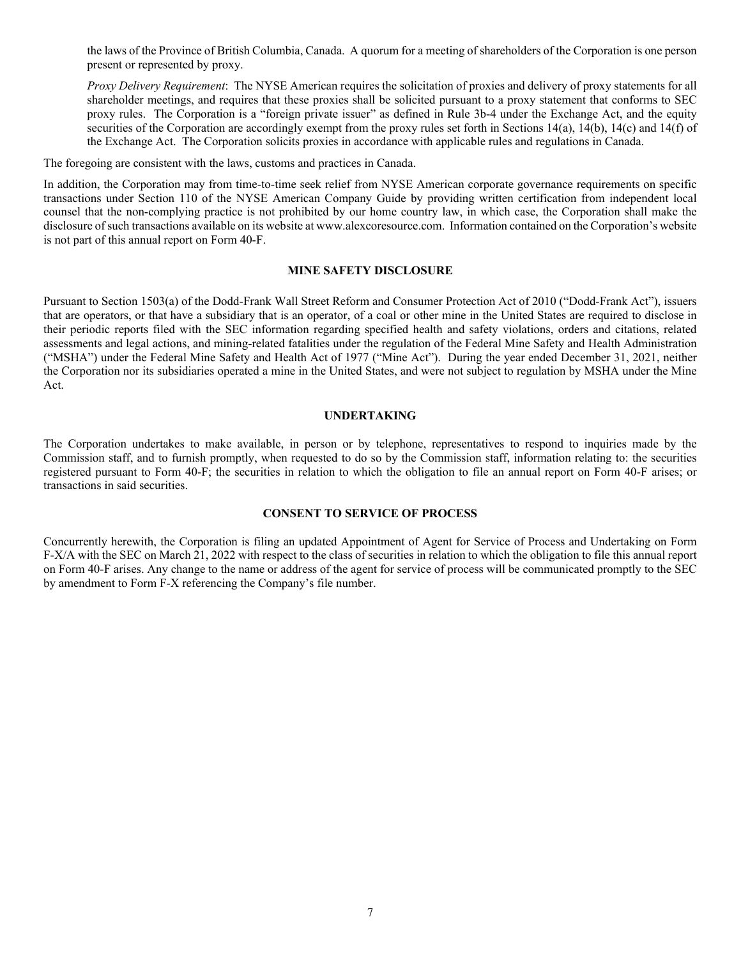the laws of the Province of British Columbia, Canada. A quorum for a meeting of shareholders of the Corporation is one person present or represented by proxy.

*Proxy Delivery Requirement*: The NYSE American requires the solicitation of proxies and delivery of proxy statements for all shareholder meetings, and requires that these proxies shall be solicited pursuant to a proxy statement that conforms to SEC proxy rules. The Corporation is a "foreign private issuer" as defined in Rule 3b-4 under the Exchange Act, and the equity securities of the Corporation are accordingly exempt from the proxy rules set forth in Sections 14(a), 14(b), 14(c) and 14(f) of the Exchange Act. The Corporation solicits proxies in accordance with applicable rules and regulations in Canada.

The foregoing are consistent with the laws, customs and practices in Canada.

In addition, the Corporation may from time-to-time seek relief from NYSE American corporate governance requirements on specific transactions under Section 110 of the NYSE American Company Guide by providing written certification from independent local counsel that the non-complying practice is not prohibited by our home country law, in which case, the Corporation shall make the disclosure of such transactions available on its website at www.alexcoresource.com. Information contained on the Corporation's website is not part of this annual report on Form 40-F.

#### **MINE SAFETY DISCLOSURE**

Pursuant to Section 1503(a) of the Dodd-Frank Wall Street Reform and Consumer Protection Act of 2010 ("Dodd-Frank Act"), issuers that are operators, or that have a subsidiary that is an operator, of a coal or other mine in the United States are required to disclose in their periodic reports filed with the SEC information regarding specified health and safety violations, orders and citations, related assessments and legal actions, and mining-related fatalities under the regulation of the Federal Mine Safety and Health Administration ("MSHA") under the Federal Mine Safety and Health Act of 1977 ("Mine Act"). During the year ended December 31, 2021, neither the Corporation nor its subsidiaries operated a mine in the United States, and were not subject to regulation by MSHA under the Mine Act.

#### **UNDERTAKING**

The Corporation undertakes to make available, in person or by telephone, representatives to respond to inquiries made by the Commission staff, and to furnish promptly, when requested to do so by the Commission staff, information relating to: the securities registered pursuant to Form 40-F; the securities in relation to which the obligation to file an annual report on Form 40-F arises; or transactions in said securities.

# **CONSENT TO SERVICE OF PROCESS**

Concurrently herewith, the Corporation is filing an updated Appointment of Agent for Service of Process and Undertaking on Form F-X/A with the SEC on March 21, 2022 with respect to the class of securities in relation to which the obligation to file this annual report on Form 40-F arises. Any change to the name or address of the agent for service of process will be communicated promptly to the SEC by amendment to Form F-X referencing the Company's file number.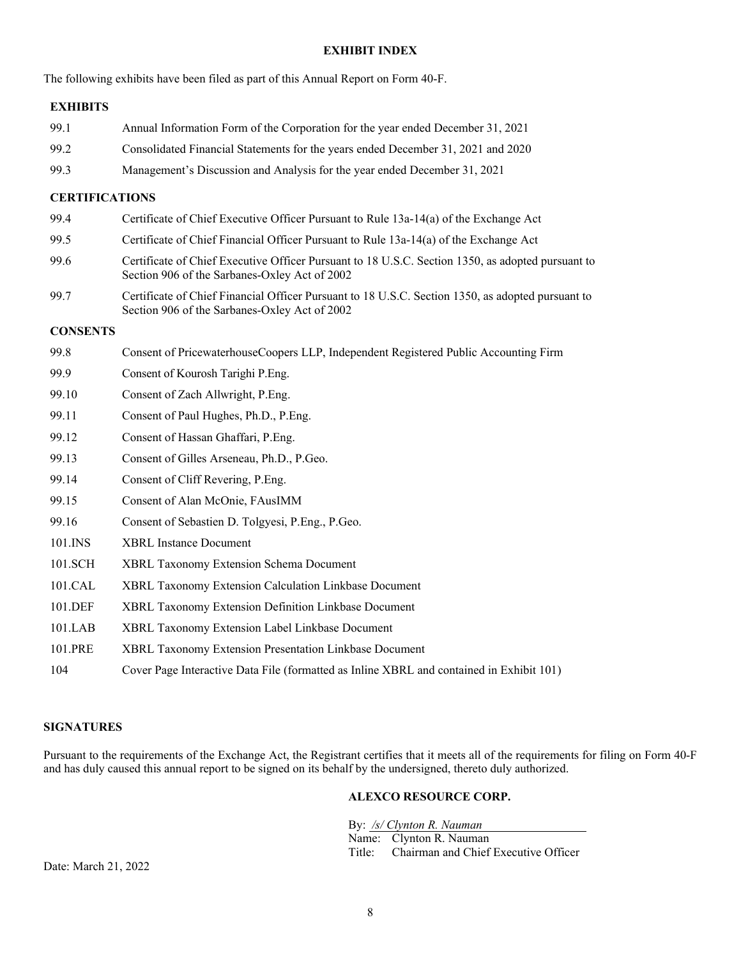# **EXHIBIT INDEX**

The following exhibits have been filed as part of this Annual Report on Form 40-F.

# **EXHIBITS**

|  | 99.1 | Annual Information Form of the Corporation for the year ended December 31, 2021 |
|--|------|---------------------------------------------------------------------------------|
|--|------|---------------------------------------------------------------------------------|

- 99.2 Consolidated Financial Statements for the years ended December 31, 2021 and 2020
- 99.3 Management's Discussion and Analysis for the year ended December 31, 2021

## **CERTIFICATIONS**

| 99.4 | Certificate of Chief Executive Officer Pursuant to Rule 13a-14(a) of the Exchange Act                                                              |
|------|----------------------------------------------------------------------------------------------------------------------------------------------------|
| 99.5 | Certificate of Chief Financial Officer Pursuant to Rule 13a-14(a) of the Exchange Act                                                              |
| 99.6 | Certificate of Chief Executive Officer Pursuant to 18 U.S.C. Section 1350, as adopted pursuant to<br>Section 906 of the Sarbanes-Oxley Act of 2002 |
| 99.7 | Certificate of Chief Financial Officer Pursuant to 18 U.S.C. Section 1350, as adopted pursuant to<br>Section 906 of the Sarbanes-Oxley Act of 2002 |

## **CONSENTS**

| 99.8    | Consent of PricewaterhouseCoopers LLP, Independent Registered Public Accounting Firm     |
|---------|------------------------------------------------------------------------------------------|
| 99.9    | Consent of Kourosh Tarighi P.Eng.                                                        |
| 99.10   | Consent of Zach Allwright, P.Eng.                                                        |
| 99.11   | Consent of Paul Hughes, Ph.D., P.Eng.                                                    |
| 99.12   | Consent of Hassan Ghaffari, P.Eng.                                                       |
| 99.13   | Consent of Gilles Arseneau, Ph.D., P.Geo.                                                |
| 99.14   | Consent of Cliff Revering, P.Eng.                                                        |
| 99.15   | Consent of Alan McOnie, FAusIMM                                                          |
| 99.16   | Consent of Sebastien D. Tolgyesi, P.Eng., P.Geo.                                         |
| 101.INS | <b>XBRL</b> Instance Document                                                            |
| 101.SCH | <b>XBRL Taxonomy Extension Schema Document</b>                                           |
| 101.CAL | XBRL Taxonomy Extension Calculation Linkbase Document                                    |
| 101.DEF | <b>XBRL Taxonomy Extension Definition Linkbase Document</b>                              |
| 101.LAB | XBRL Taxonomy Extension Label Linkbase Document                                          |
| 101.PRE | <b>XBRL Taxonomy Extension Presentation Linkbase Document</b>                            |
| 104     | Cover Page Interactive Data File (formatted as Inline XBRL and contained in Exhibit 101) |

# **SIGNATURES**

Pursuant to the requirements of the Exchange Act, the Registrant certifies that it meets all of the requirements for filing on Form 40-F and has duly caused this annual report to be signed on its behalf by the undersigned, thereto duly authorized.

# **ALEXCO RESOURCE CORP.**

By: */s/ Clynton R. Nauman* Name: Clynton R. Nauman<br>Title: Chairman and Chief Chairman and Chief Executive Officer

Date: March 21, 2022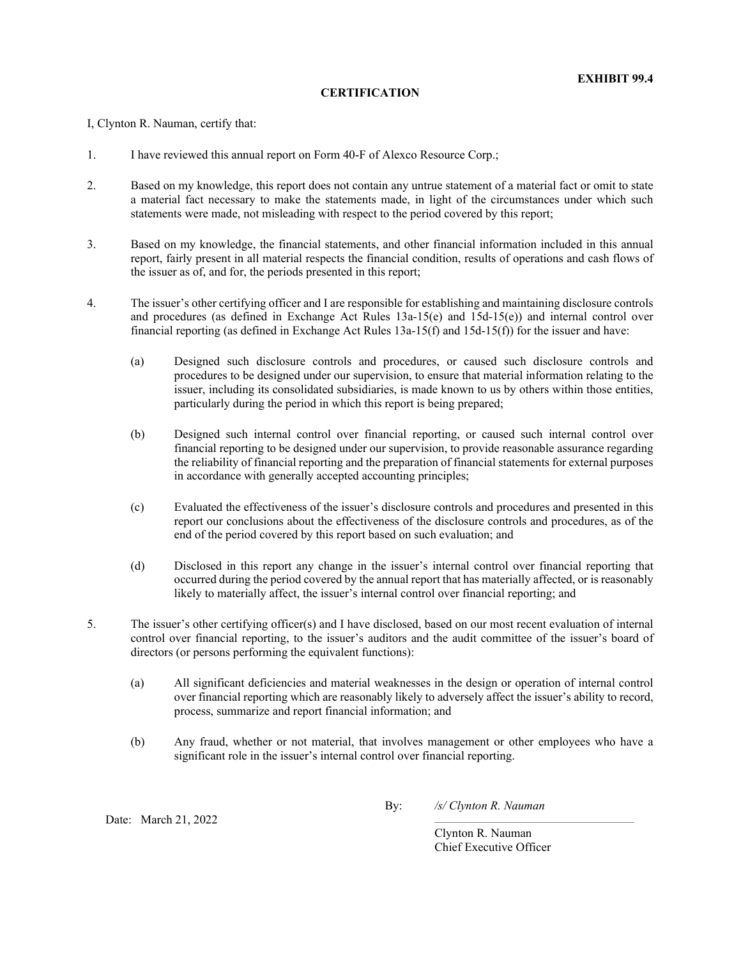## **CERTIFICATION**

I, Clynton R. Nauman, certify that:

- 1. I have reviewed this annual report on Form 40-F of Alexco Resource Corp.;
- 2. Based on my knowledge, this report does not contain any untrue statement of a material fact or omit to state a material fact necessary to make the statements made, in light of the circumstances under which such statements were made, not misleading with respect to the period covered by this report;
- 3. Based on my knowledge, the financial statements, and other financial information included in this annual report, fairly present in all material respects the financial condition, results of operations and cash flows of the issuer as of, and for, the periods presented in this report;
- 4. The issuer's other certifying officer and I are responsible for establishing and maintaining disclosure controls and procedures (as defined in Exchange Act Rules 13a-15(e) and 15d-15(e)) and internal control over financial reporting (as defined in Exchange Act Rules 13a-15(f) and 15d-15(f)) for the issuer and have:
	- (a) Designed such disclosure controls and procedures, or caused such disclosure controls and procedures to be designed under our supervision, to ensure that material information relating to the issuer, including its consolidated subsidiaries, is made known to us by others within those entities, particularly during the period in which this report is being prepared;
	- (b) Designed such internal control over financial reporting, or caused such internal control over financial reporting to be designed under our supervision, to provide reasonable assurance regarding the reliability of financial reporting and the preparation of financial statements for external purposes in accordance with generally accepted accounting principles;
	- (c) Evaluated the effectiveness of the issuer's disclosure controls and procedures and presented in this report our conclusions about the effectiveness of the disclosure controls and procedures, as of the end of the period covered by this report based on such evaluation; and
	- (d) Disclosed in this report any change in the issuer's internal control over financial reporting that occurred during the period covered by the annual report that has materially affected, or is reasonably likely to materially affect, the issuer's internal control over financial reporting; and
- 5. The issuer's other certifying officer(s) and I have disclosed, based on our most recent evaluation of internal control over financial reporting, to the issuer's auditors and the audit committee of the issuer's board of directors (or persons performing the equivalent functions):
	- (a) All significant deficiencies and material weaknesses in the design or operation of internal control over financial reporting which are reasonably likely to adversely affect the issuer's ability to record, process, summarize and report financial information; and
	- (b) Any fraud, whether or not material, that involves management or other employees who have a significant role in the issuer's internal control over financial reporting.

Date: March 21, 2022

By: */s/ Clynton R. Nauman*

Clynton R. Nauman Chief Executive Officer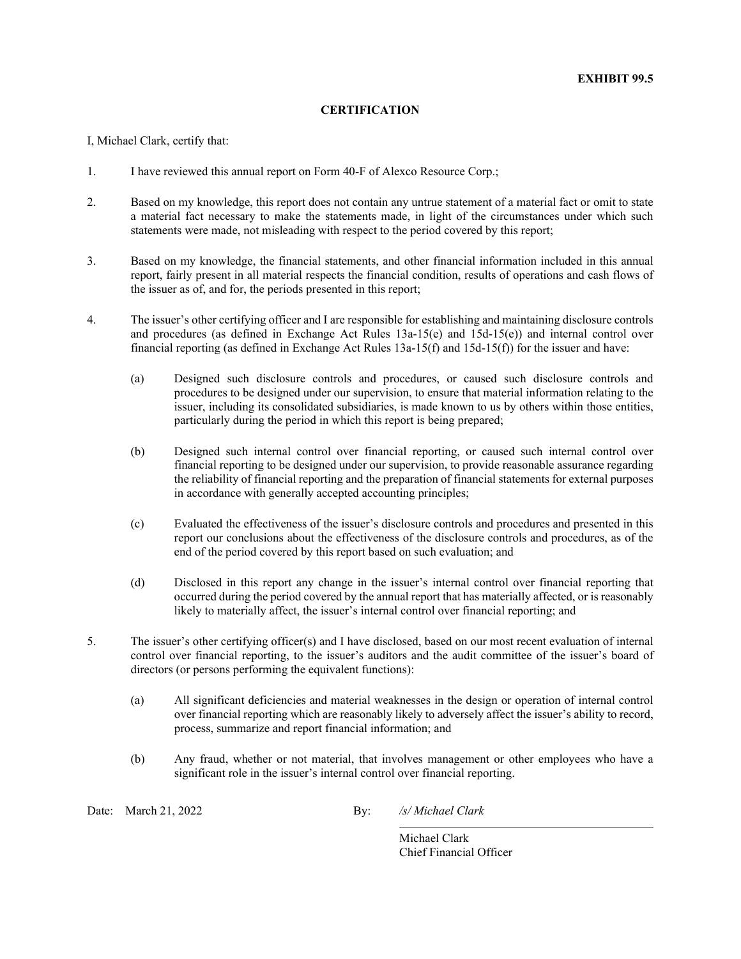#### **CERTIFICATION**

I, Michael Clark, certify that:

- 1. I have reviewed this annual report on Form 40-F of Alexco Resource Corp.;
- 2. Based on my knowledge, this report does not contain any untrue statement of a material fact or omit to state a material fact necessary to make the statements made, in light of the circumstances under which such statements were made, not misleading with respect to the period covered by this report;
- 3. Based on my knowledge, the financial statements, and other financial information included in this annual report, fairly present in all material respects the financial condition, results of operations and cash flows of the issuer as of, and for, the periods presented in this report;
- 4. The issuer's other certifying officer and I are responsible for establishing and maintaining disclosure controls and procedures (as defined in Exchange Act Rules 13a-15(e) and 15d-15(e)) and internal control over financial reporting (as defined in Exchange Act Rules  $13a-15(f)$  and  $15d-15(f)$ ) for the issuer and have:
	- (a) Designed such disclosure controls and procedures, or caused such disclosure controls and procedures to be designed under our supervision, to ensure that material information relating to the issuer, including its consolidated subsidiaries, is made known to us by others within those entities, particularly during the period in which this report is being prepared;
	- (b) Designed such internal control over financial reporting, or caused such internal control over financial reporting to be designed under our supervision, to provide reasonable assurance regarding the reliability of financial reporting and the preparation of financial statements for external purposes in accordance with generally accepted accounting principles;
	- (c) Evaluated the effectiveness of the issuer's disclosure controls and procedures and presented in this report our conclusions about the effectiveness of the disclosure controls and procedures, as of the end of the period covered by this report based on such evaluation; and
	- (d) Disclosed in this report any change in the issuer's internal control over financial reporting that occurred during the period covered by the annual report that has materially affected, or is reasonably likely to materially affect, the issuer's internal control over financial reporting; and
- 5. The issuer's other certifying officer(s) and I have disclosed, based on our most recent evaluation of internal control over financial reporting, to the issuer's auditors and the audit committee of the issuer's board of directors (or persons performing the equivalent functions):
	- (a) All significant deficiencies and material weaknesses in the design or operation of internal control over financial reporting which are reasonably likely to adversely affect the issuer's ability to record, process, summarize and report financial information; and
	- (b) Any fraud, whether or not material, that involves management or other employees who have a significant role in the issuer's internal control over financial reporting.

Date: March 21, 2022 By: */s/ Michael Clark*

Michael Clark Chief Financial Officer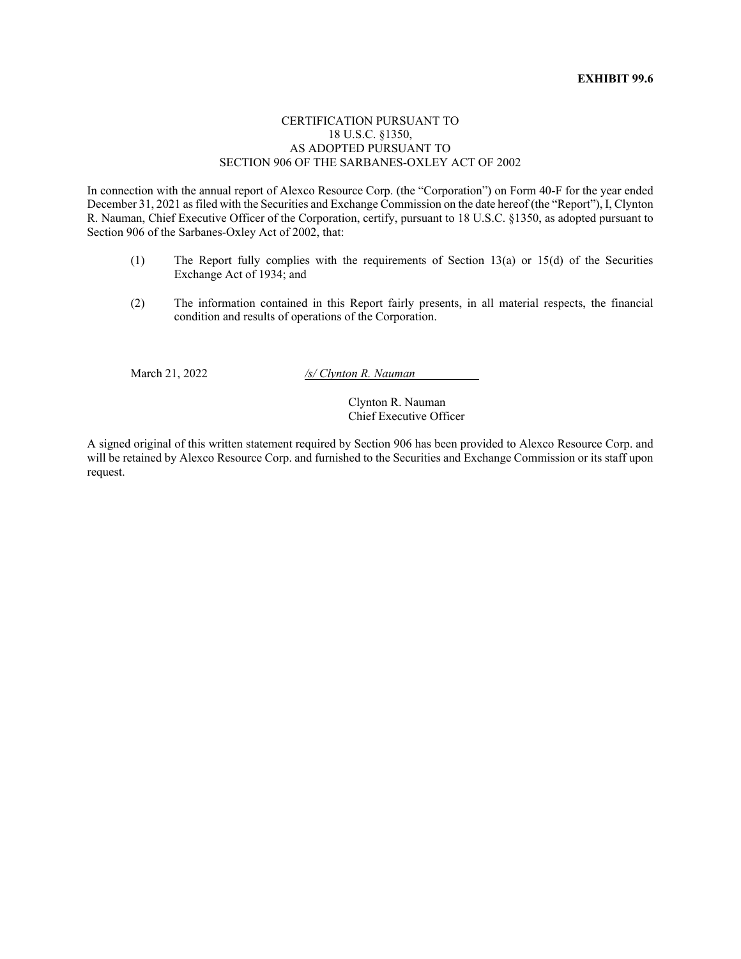### CERTIFICATION PURSUANT TO 18 U.S.C. §1350, AS ADOPTED PURSUANT TO SECTION 906 OF THE SARBANES-OXLEY ACT OF 2002

In connection with the annual report of Alexco Resource Corp. (the "Corporation") on Form 40-F for the year ended December 31, 2021 as filed with the Securities and Exchange Commission on the date hereof (the "Report"), I, Clynton R. Nauman, Chief Executive Officer of the Corporation, certify, pursuant to 18 U.S.C. §1350, as adopted pursuant to Section 906 of the Sarbanes-Oxley Act of 2002, that:

- (1) The Report fully complies with the requirements of Section 13(a) or 15(d) of the Securities Exchange Act of 1934; and
- (2) The information contained in this Report fairly presents, in all material respects, the financial condition and results of operations of the Corporation.

March 21, 2022 */s/ Clynton R. Nauman*

Clynton R. Nauman Chief Executive Officer

A signed original of this written statement required by Section 906 has been provided to Alexco Resource Corp. and will be retained by Alexco Resource Corp. and furnished to the Securities and Exchange Commission or its staff upon request.